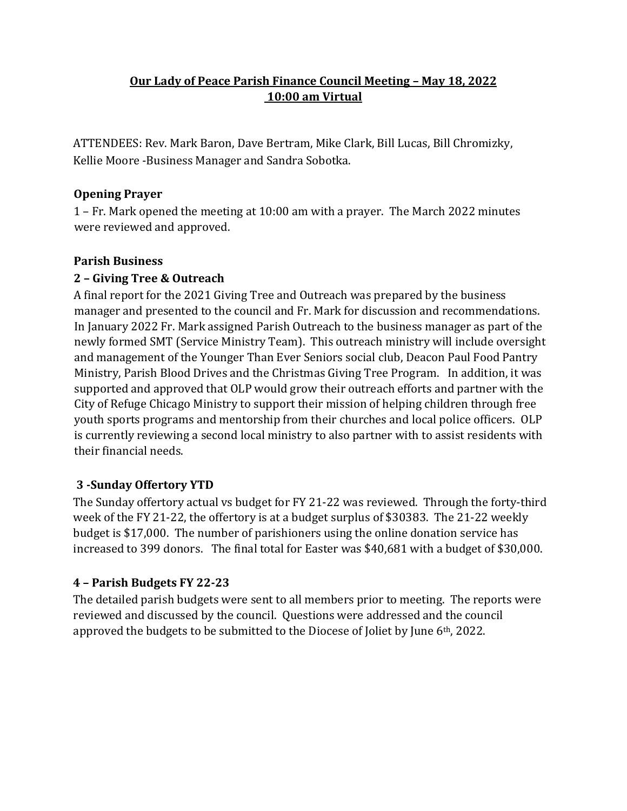## **Our Lady of Peace Parish Finance Council Meeting – May 18, 2022 10:00 am Virtual**

ATTENDEES: Rev. Mark Baron, Dave Bertram, Mike Clark, Bill Lucas, Bill Chromizky, Kellie Moore -Business Manager and Sandra Sobotka.

## **Opening Prayer**

1 – Fr. Mark opened the meeting at 10:00 am with a prayer. The March 2022 minutes were reviewed and approved.

## **Parish Business**

# **2 – Giving Tree & Outreach**

A final report for the 2021 Giving Tree and Outreach was prepared by the business manager and presented to the council and Fr. Mark for discussion and recommendations. In January 2022 Fr. Mark assigned Parish Outreach to the business manager as part of the newly formed SMT (Service Ministry Team). This outreach ministry will include oversight and management of the Younger Than Ever Seniors social club, Deacon Paul Food Pantry Ministry, Parish Blood Drives and the Christmas Giving Tree Program. In addition, it was supported and approved that OLP would grow their outreach efforts and partner with the City of Refuge Chicago Ministry to support their mission of helping children through free youth sports programs and mentorship from their churches and local police officers. OLP is currently reviewing a second local ministry to also partner with to assist residents with their financial needs.

# **3 -Sunday Offertory YTD**

The Sunday offertory actual vs budget for FY 21-22 was reviewed. Through the forty-third week of the FY 21-22, the offertory is at a budget surplus of \$30383. The 21-22 weekly budget is \$17,000. The number of parishioners using the online donation service has increased to 399 donors. The final total for Easter was \$40,681 with a budget of \$30,000.

# **4 – Parish Budgets FY 22-23**

The detailed parish budgets were sent to all members prior to meeting. The reports were reviewed and discussed by the council. Questions were addressed and the council approved the budgets to be submitted to the Diocese of Joliet by June 6th, 2022.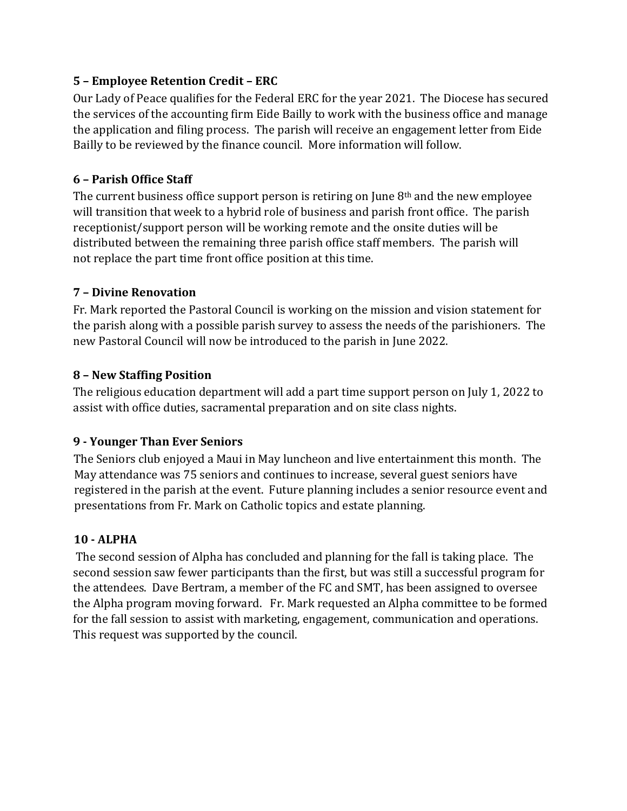### **5 – Employee Retention Credit – ERC**

Our Lady of Peace qualifies for the Federal ERC for the year 2021. The Diocese has secured the services of the accounting firm Eide Bailly to work with the business office and manage the application and filing process. The parish will receive an engagement letter from Eide Bailly to be reviewed by the finance council. More information will follow.

#### **6 – Parish Office Staff**

The current business office support person is retiring on June  $8<sup>th</sup>$  and the new employee will transition that week to a hybrid role of business and parish front office. The parish receptionist/support person will be working remote and the onsite duties will be distributed between the remaining three parish office staff members. The parish will not replace the part time front office position at this time.

#### **7 – Divine Renovation**

Fr. Mark reported the Pastoral Council is working on the mission and vision statement for the parish along with a possible parish survey to assess the needs of the parishioners. The new Pastoral Council will now be introduced to the parish in June 2022.

#### **8 – New Staffing Position**

The religious education department will add a part time support person on July 1, 2022 to assist with office duties, sacramental preparation and on site class nights.

### **9 - Younger Than Ever Seniors**

The Seniors club enjoyed a Maui in May luncheon and live entertainment this month. The May attendance was 75 seniors and continues to increase, several guest seniors have registered in the parish at the event. Future planning includes a senior resource event and presentations from Fr. Mark on Catholic topics and estate planning.

### **10 - ALPHA**

The second session of Alpha has concluded and planning for the fall is taking place. The second session saw fewer participants than the first, but was still a successful program for the attendees. Dave Bertram, a member of the FC and SMT, has been assigned to oversee the Alpha program moving forward. Fr. Mark requested an Alpha committee to be formed for the fall session to assist with marketing, engagement, communication and operations. This request was supported by the council.